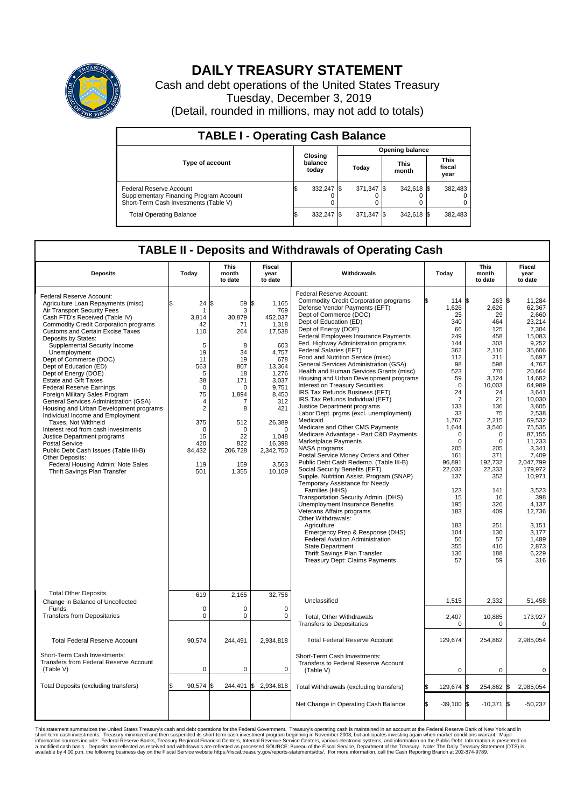

## **DAILY TREASURY STATEMENT**

Cash and debt operations of the United States Treasury Tuesday, December 3, 2019 (Detail, rounded in millions, may not add to totals)

| <b>TABLE I - Operating Cash Balance</b>                                                                     |    |                             |  |                        |  |                      |  |                               |  |  |
|-------------------------------------------------------------------------------------------------------------|----|-----------------------------|--|------------------------|--|----------------------|--|-------------------------------|--|--|
|                                                                                                             |    |                             |  | <b>Opening balance</b> |  |                      |  |                               |  |  |
| <b>Type of account</b>                                                                                      |    | Closing<br>balance<br>today |  | Today                  |  | <b>This</b><br>month |  | <b>This</b><br>fiscal<br>year |  |  |
| Federal Reserve Account<br>Supplementary Financing Program Account<br>Short-Term Cash Investments (Table V) |    | 332,247 \$                  |  | 371.347 \$             |  | 342,618 \$           |  | 382,483                       |  |  |
| <b>Total Operating Balance</b>                                                                              | ıъ | 332,247 \$                  |  | 371,347 \$             |  | 342,618 \$           |  | 382,483                       |  |  |

## **TABLE II - Deposits and Withdrawals of Operating Cash**

| <b>Deposits</b>                                                                                                                                                                                                                                                                                                                                                                                                                                                                                                                                                                                                                                                                                                                                                                                                                                           | Today                                                                                                                                                    | This<br>month<br>to date                                                                                                                                                 | Fiscal<br>year<br>to date                                                                                                                                                                                 | Withdrawals                                                                                                                                                                                                                                                                                                                                                                                                                                                                                                                                                                                                                                                                                                                                                                                                                                                                                                                                                                                                                                                                                                                                                                                                                                                                                                                                      | Today                                                                                                                                                                                                                                                                                | <b>This</b><br>month<br>to date                                                                                                                                                                                                                                             | Fiscal<br>year<br>to date                                                                                                                                                                                                                                                                                                                                     |
|-----------------------------------------------------------------------------------------------------------------------------------------------------------------------------------------------------------------------------------------------------------------------------------------------------------------------------------------------------------------------------------------------------------------------------------------------------------------------------------------------------------------------------------------------------------------------------------------------------------------------------------------------------------------------------------------------------------------------------------------------------------------------------------------------------------------------------------------------------------|----------------------------------------------------------------------------------------------------------------------------------------------------------|--------------------------------------------------------------------------------------------------------------------------------------------------------------------------|-----------------------------------------------------------------------------------------------------------------------------------------------------------------------------------------------------------|--------------------------------------------------------------------------------------------------------------------------------------------------------------------------------------------------------------------------------------------------------------------------------------------------------------------------------------------------------------------------------------------------------------------------------------------------------------------------------------------------------------------------------------------------------------------------------------------------------------------------------------------------------------------------------------------------------------------------------------------------------------------------------------------------------------------------------------------------------------------------------------------------------------------------------------------------------------------------------------------------------------------------------------------------------------------------------------------------------------------------------------------------------------------------------------------------------------------------------------------------------------------------------------------------------------------------------------------------|--------------------------------------------------------------------------------------------------------------------------------------------------------------------------------------------------------------------------------------------------------------------------------------|-----------------------------------------------------------------------------------------------------------------------------------------------------------------------------------------------------------------------------------------------------------------------------|---------------------------------------------------------------------------------------------------------------------------------------------------------------------------------------------------------------------------------------------------------------------------------------------------------------------------------------------------------------|
| Federal Reserve Account:<br>Agriculture Loan Repayments (misc)<br>Air Transport Security Fees<br>Cash FTD's Received (Table IV)<br><b>Commodity Credit Corporation programs</b><br><b>Customs and Certain Excise Taxes</b><br>Deposits by States:<br>Supplemental Security Income<br>Unemployment<br>Dept of Commerce (DOC)<br>Dept of Education (ED)<br>Dept of Energy (DOE)<br><b>Estate and Gift Taxes</b><br>Federal Reserve Earnings<br>Foreign Military Sales Program<br>General Services Administration (GSA)<br>Housing and Urban Development programs<br>Individual Income and Employment<br>Taxes. Not Withheld<br>Interest recd from cash investments<br>Justice Department programs<br><b>Postal Service</b><br>Public Debt Cash Issues (Table III-B)<br>Other Deposits:<br>Federal Housing Admin: Note Sales<br>Thrift Savings Plan Transfer | 24<br>3,814<br>42<br>110<br>5<br>19<br>11<br>563<br>5<br>38<br>$\mathbf 0$<br>75<br>4<br>$\overline{2}$<br>375<br>0<br>15<br>420<br>84,432<br>119<br>501 | ß<br>59 \$<br>3<br>30,879<br>71<br>264<br>8<br>34<br>19<br>807<br>18<br>171<br>$\Omega$<br>1,894<br>7<br>8<br>512<br>$\mathbf 0$<br>22<br>822<br>206,728<br>159<br>1,355 | 1,165<br>769<br>452,037<br>1,318<br>17,538<br>603<br>4.757<br>678<br>13,364<br>1,276<br>3,037<br>9,751<br>8,450<br>312<br>421<br>26,389<br>$\mathbf 0$<br>1,048<br>16,398<br>2,342,750<br>3.563<br>10,109 | Federal Reserve Account:<br><b>Commodity Credit Corporation programs</b><br>Defense Vendor Payments (EFT)<br>Dept of Commerce (DOC)<br>Dept of Education (ED)<br>Dept of Energy (DOE)<br><b>Federal Employees Insurance Payments</b><br>Fed. Highway Administration programs<br>Federal Salaries (EFT)<br>Food and Nutrition Service (misc)<br>General Services Administration (GSA)<br>Health and Human Services Grants (misc)<br>Housing and Urban Development programs<br>Interest on Treasury Securities<br>IRS Tax Refunds Business (EFT)<br>IRS Tax Refunds Individual (EFT)<br>Justice Department programs<br>Labor Dept. prgms (excl. unemployment)<br>Medicaid<br>Medicare and Other CMS Payments<br>Medicare Advantage - Part C&D Payments<br>Marketplace Payments<br>NASA programs<br>Postal Service Money Orders and Other<br>Public Debt Cash Redemp. (Table III-B)<br>Social Security Benefits (EFT)<br>Supple. Nutrition Assist. Program (SNAP)<br>Temporary Assistance for Needy<br>Families (HHS)<br>Transportation Security Admin. (DHS)<br><b>Unemployment Insurance Benefits</b><br>Veterans Affairs programs<br>Other Withdrawals:<br>Agriculture<br>Emergency Prep & Response (DHS)<br>Federal Aviation Administration<br><b>State Department</b><br>Thrift Savings Plan Transfer<br><b>Treasury Dept: Claims Payments</b> | 114 \$<br>1,626<br>25<br>340<br>66<br>249<br>144<br>362<br>112<br>98<br>523<br>59<br>$\Omega$<br>24<br>$\overline{7}$<br>133<br>33<br>1,767<br>1,644<br>0<br>$\mathbf 0$<br>205<br>161<br>96,891<br>22.032<br>137<br>123<br>15<br>195<br>183<br>183<br>104<br>56<br>355<br>136<br>57 | 263<br>2,626<br>29<br>464<br>125<br>458<br>303<br>2,110<br>211<br>598<br>770<br>3,124<br>10,003<br>24<br>21<br>136<br>75<br>2,215<br>3,540<br>0<br>$\mathbf 0$<br>205<br>371<br>192,732<br>22,333<br>352<br>141<br>16<br>326<br>409<br>251<br>130<br>57<br>410<br>188<br>59 | <b>S</b><br>11,284<br>62,367<br>2.660<br>23,214<br>7,304<br>15,083<br>9,252<br>35,606<br>5.697<br>4,767<br>20,664<br>14,682<br>64.989<br>3,641<br>10,030<br>3.605<br>2,538<br>69,532<br>75.535<br>87,155<br>11,233<br>3,341<br>7,409<br>2,047,799<br>179.972<br>10,971<br>3,523<br>398<br>4,137<br>12,736<br>3,151<br>3.177<br>1,489<br>2,873<br>6,229<br>316 |
| <b>Total Other Deposits</b><br>Change in Balance of Uncollected                                                                                                                                                                                                                                                                                                                                                                                                                                                                                                                                                                                                                                                                                                                                                                                           | 619                                                                                                                                                      | 2,165                                                                                                                                                                    | 32,756                                                                                                                                                                                                    | Unclassified                                                                                                                                                                                                                                                                                                                                                                                                                                                                                                                                                                                                                                                                                                                                                                                                                                                                                                                                                                                                                                                                                                                                                                                                                                                                                                                                     | 1,515                                                                                                                                                                                                                                                                                | 2,332                                                                                                                                                                                                                                                                       | 51,458                                                                                                                                                                                                                                                                                                                                                        |
| Funds<br><b>Transfers from Depositaries</b>                                                                                                                                                                                                                                                                                                                                                                                                                                                                                                                                                                                                                                                                                                                                                                                                               | $\mathbf 0$<br>$\mathbf 0$                                                                                                                               | $\Omega$<br>$\mathbf 0$                                                                                                                                                  | $\Omega$<br>$\mathbf 0$                                                                                                                                                                                   | Total, Other Withdrawals<br><b>Transfers to Depositaries</b>                                                                                                                                                                                                                                                                                                                                                                                                                                                                                                                                                                                                                                                                                                                                                                                                                                                                                                                                                                                                                                                                                                                                                                                                                                                                                     | 2,407<br>$\Omega$                                                                                                                                                                                                                                                                    | 10,885<br>$\Omega$                                                                                                                                                                                                                                                          | 173,927<br>$\mathbf 0$                                                                                                                                                                                                                                                                                                                                        |
| <b>Total Federal Reserve Account</b>                                                                                                                                                                                                                                                                                                                                                                                                                                                                                                                                                                                                                                                                                                                                                                                                                      | 90,574                                                                                                                                                   | 244.491                                                                                                                                                                  | 2,934,818                                                                                                                                                                                                 | <b>Total Federal Reserve Account</b>                                                                                                                                                                                                                                                                                                                                                                                                                                                                                                                                                                                                                                                                                                                                                                                                                                                                                                                                                                                                                                                                                                                                                                                                                                                                                                             | 129,674                                                                                                                                                                                                                                                                              | 254,862                                                                                                                                                                                                                                                                     | 2,985,054                                                                                                                                                                                                                                                                                                                                                     |
| Short-Term Cash Investments:<br>Transfers from Federal Reserve Account<br>(Table V)                                                                                                                                                                                                                                                                                                                                                                                                                                                                                                                                                                                                                                                                                                                                                                       | $\mathbf 0$                                                                                                                                              | 0                                                                                                                                                                        | $\mathbf 0$                                                                                                                                                                                               | Short-Term Cash Investments:<br>Transfers to Federal Reserve Account<br>(Table V)                                                                                                                                                                                                                                                                                                                                                                                                                                                                                                                                                                                                                                                                                                                                                                                                                                                                                                                                                                                                                                                                                                                                                                                                                                                                | $\mathbf 0$                                                                                                                                                                                                                                                                          | 0                                                                                                                                                                                                                                                                           | 0                                                                                                                                                                                                                                                                                                                                                             |
| Total Deposits (excluding transfers)                                                                                                                                                                                                                                                                                                                                                                                                                                                                                                                                                                                                                                                                                                                                                                                                                      | 90,574                                                                                                                                                   | l\$<br>244,491 \$                                                                                                                                                        | 2,934,818                                                                                                                                                                                                 | Total Withdrawals (excluding transfers)                                                                                                                                                                                                                                                                                                                                                                                                                                                                                                                                                                                                                                                                                                                                                                                                                                                                                                                                                                                                                                                                                                                                                                                                                                                                                                          | 129,674                                                                                                                                                                                                                                                                              | 254,862 \$<br>I\$                                                                                                                                                                                                                                                           | 2,985,054                                                                                                                                                                                                                                                                                                                                                     |
|                                                                                                                                                                                                                                                                                                                                                                                                                                                                                                                                                                                                                                                                                                                                                                                                                                                           |                                                                                                                                                          |                                                                                                                                                                          |                                                                                                                                                                                                           | Net Change in Operating Cash Balance                                                                                                                                                                                                                                                                                                                                                                                                                                                                                                                                                                                                                                                                                                                                                                                                                                                                                                                                                                                                                                                                                                                                                                                                                                                                                                             | Ŝ.<br>$-39.100$ \$                                                                                                                                                                                                                                                                   | $-10,371$ \$                                                                                                                                                                                                                                                                | $-50,237$                                                                                                                                                                                                                                                                                                                                                     |

This statement summarizes the United States Treasury's cash and debt operations for the Federal Government. Treasury soperating in November 2008, but anticiarded in a cocount at the Federal metaformation sources investment